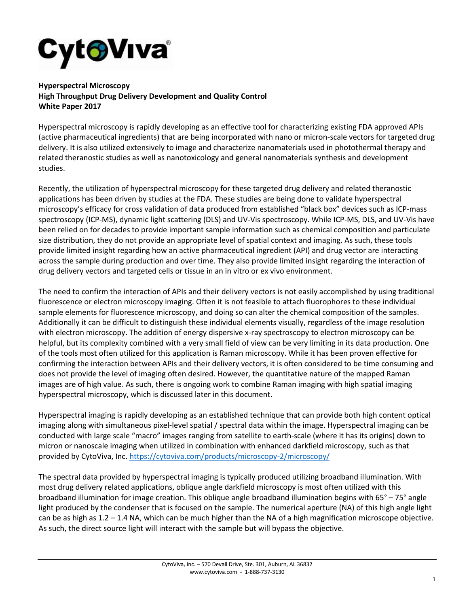

**Hyperspectral Microscopy High Throughput Drug Delivery Development and Quality Control White Paper 2017**

Hyperspectral microscopy is rapidly developing as an effective tool for characterizing existing FDA approved APIs (active pharmaceutical ingredients) that are being incorporated with nano or micron-scale vectors for targeted drug delivery. It is also utilized extensively to image and characterize nanomaterials used in photothermal therapy and related theranostic studies as well as nanotoxicology and general nanomaterials synthesis and development studies.

Recently, the utilization of hyperspectral microscopy for these targeted drug delivery and related theranostic applications has been driven by studies at the FDA. These studies are being done to validate hyperspectral microscopy's efficacy for cross validation of data produced from established "black box" devices such as ICP-mass spectroscopy (ICP-MS), dynamic light scattering (DLS) and UV-Vis spectroscopy. While ICP-MS, DLS, and UV-Vis have been relied on for decades to provide important sample information such as chemical composition and particulate size distribution, they do not provide an appropriate level of spatial context and imaging. As such, these tools provide limited insight regarding how an active pharmaceutical ingredient (API) and drug vector are interacting across the sample during production and over time. They also provide limited insight regarding the interaction of drug delivery vectors and targeted cells or tissue in an in vitro or ex vivo environment.

The need to confirm the interaction of APIs and their delivery vectors is not easily accomplished by using traditional fluorescence or electron microscopy imaging. Often it is not feasible to attach fluorophores to these individual sample elements for fluorescence microscopy, and doing so can alter the chemical composition of the samples. Additionally it can be difficult to distinguish these individual elements visually, regardless of the image resolution with electron microscopy. The addition of energy dispersive x-ray spectroscopy to electron microscopy can be helpful, but its complexity combined with a very small field of view can be very limiting in its data production. One of the tools most often utilized for this application is Raman microscopy. While it has been proven effective for confirming the interaction between APIs and their delivery vectors, it is often considered to be time consuming and does not provide the level of imaging often desired. However, the quantitative nature of the mapped Raman images are of high value. As such, there is ongoing work to combine Raman imaging with high spatial imaging hyperspectral microscopy, which is discussed later in this document.

Hyperspectral imaging is rapidly developing as an established technique that can provide both high content optical imaging along with simultaneous pixel-level spatial / spectral data within the image. Hyperspectral imaging can be conducted with large scale "macro" images ranging from satellite to earth-scale (where it has its origins) down to micron or nanoscale imaging when utilized in combination with enhanced darkfield microscopy, such as that provided by CytoViva, Inc.<https://cytoviva.com/products/microscopy-2/microscopy/>

The spectral data provided by hyperspectral imaging is typically produced utilizing broadband illumination. With most drug delivery related applications, oblique angle darkfield microscopy is most often utilized with this broadband illumination for image creation. This oblique angle broadband illumination begins with 65° – 75° angle light produced by the condenser that is focused on the sample. The numerical aperture (NA) of this high angle light can be as high as 1.2 – 1.4 NA, which can be much higher than the NA of a high magnification microscope objective. As such, the direct source light will interact with the sample but will bypass the objective.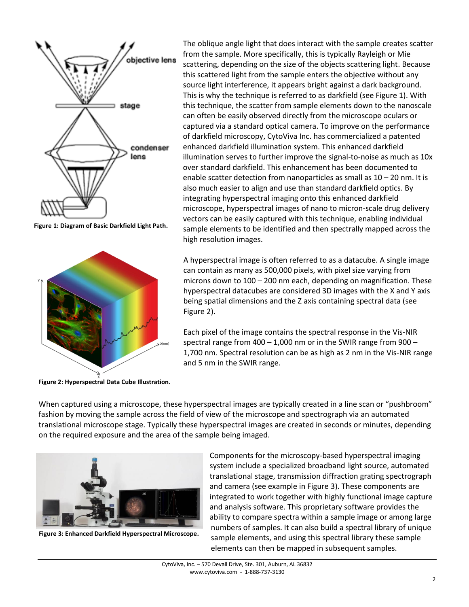

**Figure 1: Diagram of Basic Darkfield Light Path.**



**Figure 2: Hyperspectral Data Cube Illustration.**

The oblique angle light that does interact with the sample creates scatter from the sample. More specifically, this is typically Rayleigh or Mie scattering, depending on the size of the objects scattering light. Because this scattered light from the sample enters the objective without any source light interference, it appears bright against a dark background. This is why the technique is referred to as darkfield (see Figure 1). With this technique, the scatter from sample elements down to the nanoscale can often be easily observed directly from the microscope oculars or captured via a standard optical camera. To improve on the performance of darkfield microscopy, CytoViva Inc. has commercialized a patented enhanced darkfield illumination system. This enhanced darkfield illumination serves to further improve the signal-to-noise as much as 10x over standard darkfield. This enhancement has been documented to enable scatter detection from nanoparticles as small as 10 – 20 nm. It is also much easier to align and use than standard darkfield optics. By integrating hyperspectral imaging onto this enhanced darkfield microscope, hyperspectral images of nano to micron-scale drug delivery vectors can be easily captured with this technique, enabling individual sample elements to be identified and then spectrally mapped across the high resolution images.

A hyperspectral image is often referred to as a datacube. A single image can contain as many as 500,000 pixels, with pixel size varying from microns down to 100 – 200 nm each, depending on magnification. These hyperspectral datacubes are considered 3D images with the X and Y axis being spatial dimensions and the Z axis containing spectral data (see Figure 2).

Each pixel of the image contains the spectral response in the Vis-NIR spectral range from  $400 - 1,000$  nm or in the SWIR range from  $900 -$ 1,700 nm. Spectral resolution can be as high as 2 nm in the Vis-NIR range and 5 nm in the SWIR range.

When captured using a microscope, these hyperspectral images are typically created in a line scan or "pushbroom" fashion by moving the sample across the field of view of the microscope and spectrograph via an automated translational microscope stage. Typically these hyperspectral images are created in seconds or minutes, depending on the required exposure and the area of the sample being imaged.



**Figure 3: Enhanced Darkfield Hyperspectral Microscope.**

Components for the microscopy-based hyperspectral imaging system include a specialized broadband light source, automated translational stage, transmission diffraction grating spectrograph and camera (see example in Figure 3). These components are integrated to work together with highly functional image capture and analysis software. This proprietary software provides the ability to compare spectra within a sample image or among large numbers of samples. It can also build a spectral library of unique sample elements, and using this spectral library these sample elements can then be mapped in subsequent samples.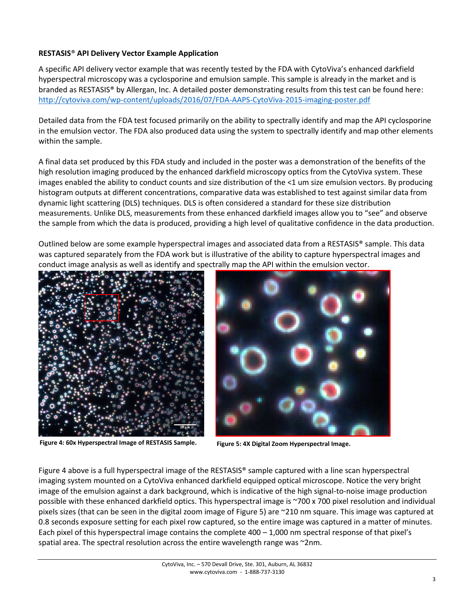## **RESTASIS**® **API Delivery Vector Example Application**

A specific API delivery vector example that was recently tested by the FDA with CytoViva's enhanced darkfield hyperspectral microscopy was a cyclosporine and emulsion sample. This sample is already in the market and is branded as RESTASIS® by Allergan, Inc. A detailed poster demonstrating results from this test can be found here: <http://cytoviva.com/wp-content/uploads/2016/07/FDA-AAPS-CytoViva-2015-imaging-poster.pdf>

Detailed data from the FDA test focused primarily on the ability to spectrally identify and map the API cyclosporine in the emulsion vector. The FDA also produced data using the system to spectrally identify and map other elements within the sample.

A final data set produced by this FDA study and included in the poster was a demonstration of the benefits of the high resolution imaging produced by the enhanced darkfield microscopy optics from the CytoViva system. These images enabled the ability to conduct counts and size distribution of the <1 um size emulsion vectors. By producing histogram outputs at different concentrations, comparative data was established to test against similar data from dynamic light scattering (DLS) techniques. DLS is often considered a standard for these size distribution measurements. Unlike DLS, measurements from these enhanced darkfield images allow you to "see" and observe the sample from which the data is produced, providing a high level of qualitative confidence in the data production.

Outlined below are some example hyperspectral images and associated data from a RESTASIS® sample. This data was captured separately from the FDA work but is illustrative of the ability to capture hyperspectral images and conduct image analysis as well as identify and spectrally map the API within the emulsion vector.



**Figure 4: 60x Hyperspectral Image of RESTASIS Sample. Figure 5: 4X Digital Zoom Hyperspectral Image.**



Figure 4 above is a full hyperspectral image of the RESTASIS® sample captured with a line scan hyperspectral imaging system mounted on a CytoViva enhanced darkfield equipped optical microscope. Notice the very bright image of the emulsion against a dark background, which is indicative of the high signal-to-noise image production possible with these enhanced darkfield optics. This hyperspectral image is ~700 x 700 pixel resolution and individual pixels sizes (that can be seen in the digital zoom image of Figure 5) are ~210 nm square. This image was captured at 0.8 seconds exposure setting for each pixel row captured, so the entire image was captured in a matter of minutes. Each pixel of this hyperspectral image contains the complete 400 – 1,000 nm spectral response of that pixel's spatial area. The spectral resolution across the entire wavelength range was ~2nm.